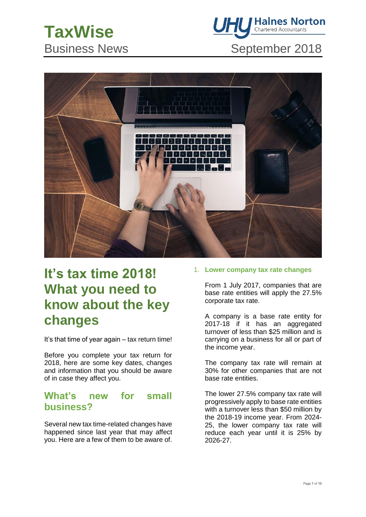



# **It's tax time 2018! What you need to know about the key changes**

It's that time of year again – tax return time!

Before you complete your tax return for 2018, here are some key dates, changes and information that you should be aware of in case they affect you.

## **What's new for small business?**

Several new tax time-related changes have happened since last year that may affect you. Here are a few of them to be aware of. 1. **Lower company tax rate changes** 

From 1 July 2017, companies that are base rate entities will apply the 27.5% corporate tax rate.

A company is a base rate entity for 2017-18 if it has an aggregated turnover of less than \$25 million and is carrying on a business for all or part of the income year.

The company tax rate will remain at 30% for other companies that are not base rate entities.

The lower 27.5% company tax rate will progressively apply to base rate entities with a turnover less than \$50 million by the 2018-19 income year. From 2024- 25, the lower company tax rate will reduce each year until it is 25% by 2026-27.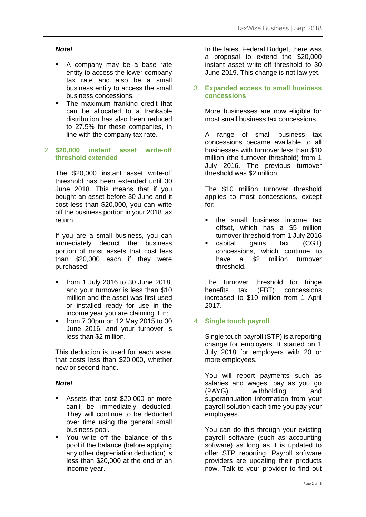#### *Note!*

- A company may be a base rate entity to access the lower company tax rate and also be a small business entity to access the small business concessions.
- The maximum franking credit that can be allocated to a frankable distribution has also been reduced to 27.5% for these companies, in line with the company tax rate.

#### 2. **\$20,000 instant asset write-off threshold extended**

The \$20,000 instant asset write-off threshold has been extended until 30 June 2018. This means that if you bought an asset before 30 June and it cost less than \$20,000, you can write off the business portion in your 2018 tax return.

If you are a small business, you can immediately deduct the business portion of most assets that cost less than \$20,000 each if they were purchased:

- from 1 July 2016 to 30 June 2018, and your turnover is less than \$10 million and the asset was first used or installed ready for use in the income year you are claiming it in;
- from 7.30pm on 12 May 2015 to 30 June 2016, and your turnover is less than \$2 million.

This deduction is used for each asset that costs less than \$20,000, whether new or second-hand.

#### *Note!*

- Assets that cost \$20,000 or more can't be immediately deducted. They will continue to be deducted over time using the general small business pool.
- You write off the balance of this pool if the balance (before applying any other depreciation deduction) is less than \$20,000 at the end of an income year.

In the latest Federal Budget, there was a proposal to extend the \$20,000 instant asset write-off threshold to 30 June 2019. This change is not law yet.

#### 3. **Expanded access to small business concessions**

More businesses are now eligible for most small business tax concessions.

A range of small business tax concessions became available to all businesses with turnover less than \$10 million (the turnover threshold) from 1 July 2016. The previous turnover threshold was \$2 million.

The \$10 million turnover threshold applies to most concessions, except for:

- the small business income tax offset, which has a \$5 million turnover threshold from 1 July 2016
- capital gains tax (CGT) concessions, which continue to have a \$2 million turnover threshold.

The turnover threshold for fringe benefits tax (FBT) concessions increased to \$10 million from 1 April 2017.

#### 4. **Single touch payroll**

Single touch payroll (STP) is a reporting change for employers. It started on 1 July 2018 for employers with 20 or more employees.

You will report payments such as salaries and wages, pay as you go (PAYG) withholding and superannuation information from your payroll solution each time you pay your employees.

You can do this through your existing payroll software (such as accounting software) as long as it is updated to offer STP reporting. Payroll software providers are updating their products now. Talk to your provider to find out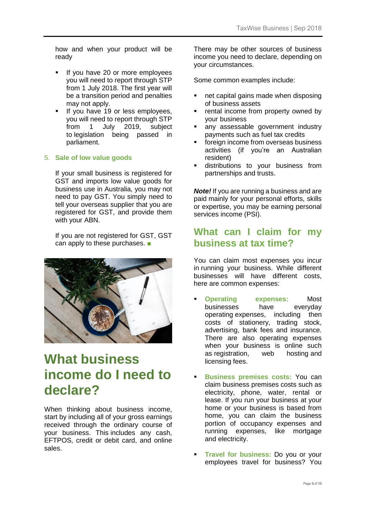how and when your product will be ready

- **■** If you have 20 or more employees you will need to report through STP from 1 July 2018. The first year will be a transition period and penalties may not apply.
- If you have 19 or less employees, you will need to report through STP from 1 July 2019, subject to legislation being passed in parliament.

### 5. **Sale of low value goods**

If your small business is registered for GST and imports low value goods for business use in Australia, you may not need to pay GST. You simply need to tell your overseas supplier that you are registered for GST, and provide them with your ABN.

If you are not registered for GST, GST can apply to these purchases. ■



# **What business income do I need to declare?**

When thinking about business income, start by including all of your gross earnings received through the ordinary course of your business. This includes any cash, EFTPOS, credit or debit card, and online sales.

There may be other sources of business income you need to declare, depending on your circumstances.

Some common examples include:

- net capital gains made when disposing of business assets
- rental income from property owned by your business
- any assessable government industry payments such as fuel tax credits
- foreign income from overseas business activities (if you're an Australian resident)
- distributions to your business from partnerships and trusts.

*Note!* If you are running a business and are paid mainly for your personal efforts, skills or expertise, you may be earning personal services income (PSI).

## **What can I claim for my business at tax time?**

You can claim most expenses you incur in running your business. While different businesses will have different costs, here are common expenses:

- **Operating expenses:** Most businesses have everyday operating expenses, including then costs of stationery, trading stock, advertising, bank fees and insurance. There are also operating expenses when your business is online such as registration, web hosting and licensing fees.
- **Business premises costs:** You can claim business premises costs such as electricity, phone, water, rental or lease. If you run your business at your home or your business is based from home, you can claim the business portion of occupancy expenses and running expenses, like mortgage and electricity.
- **Travel for business:** Do you or your employees travel for business? You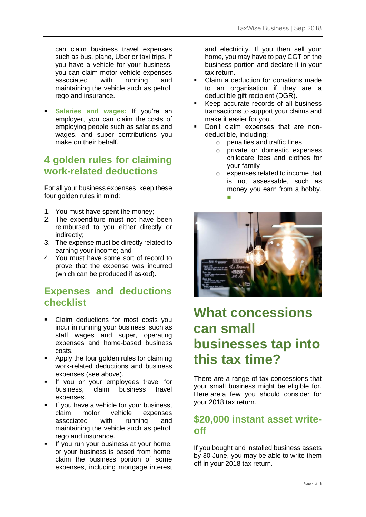can claim business travel expenses such as bus, plane, Uber or taxi trips. If you have a vehicle for your business, you can claim motor vehicle expenses associated with running and maintaining the vehicle such as petrol, rego and insurance.

**Salaries and wages: If you're an** employer, you can claim the costs of employing people such as salaries and wages, and super contributions you make on their behalf.

## **4 golden rules for claiming work-related deductions**

For all your business expenses, keep these four golden rules in mind:

- 1. You must have spent the money;
- 2. The expenditure must not have been reimbursed to you either directly or indirectly;
- 3. The expense must be directly related to earning your income; and
- 4. You must have some sort of record to prove that the expense was incurred (which can be produced if asked).

## **Expenses and deductions checklist**

- Claim deductions for most costs you incur in running your business, such as staff wages and super, operating expenses and home-based business costs.
- Apply the four golden rules for claiming work-related deductions and business expenses (see above).
- **·** If you or your employees travel for business, claim business travel expenses.
- If you have a vehicle for your business, claim motor vehicle expenses associated with running and maintaining the vehicle such as petrol, rego and insurance.
- If you run your business at your home, or your business is based from home, claim the business portion of some expenses, including mortgage interest

and electricity. If you then sell your home, you may have to pay CGT on the business portion and declare it in your tax return.

- Claim a deduction for donations made to an organisation if they are a deductible gift recipient (DGR).
- Keep accurate records of all business transactions to support your claims and make it easier for you.
- **•** Don't claim expenses that are nondeductible, including:
	- o penalties and traffic fines
	- o private or domestic expenses childcare fees and clothes for your family
	- o expenses related to income that is not assessable, such as money you earn from a hobby. ■



# **What concessions can small businesses tap into this tax time?**

There are a range of tax concessions that your small business might be eligible for. Here are a few you should consider for your 2018 tax return.

## **\$20,000 instant asset writeoff**

If you bought and installed business assets by 30 June, you may be able to write them off in your 2018 tax return.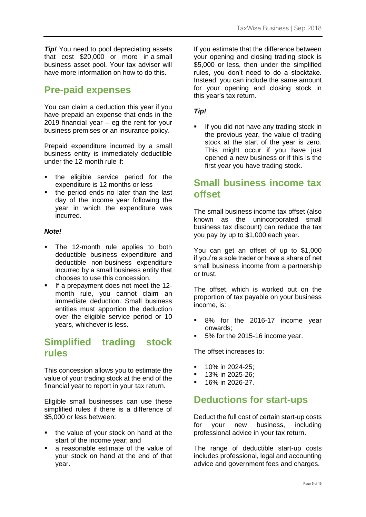**Tip!** You need to pool depreciating assets that cost \$20,000 or more in a small business asset pool. Your tax adviser will have more information on how to do this.

## **Pre-paid expenses**

You can claim a deduction this year if you have prepaid an expense that ends in the 2019 financial year – eg the rent for your business premises or an insurance policy.

Prepaid expenditure incurred by a small business entity is immediately deductible under the 12-month rule if:

- the eligible service period for the expenditure is 12 months or less
- the period ends no later than the last day of the income year following the year in which the expenditure was incurred.

#### *Note!*

- The 12-month rule applies to both deductible business expenditure and deductible non-business expenditure incurred by a small business entity that chooses to use this concession.
- If a prepayment does not meet the 12month rule, you cannot claim an immediate deduction. Small business entities must apportion the deduction over the eligible service period or 10 years, whichever is less.

## **Simplified trading stock rules**

This concession allows you to estimate the value of your trading stock at the end of the financial year to report in your tax return.

Eligible small businesses can use these simplified rules if there is a difference of \$5,000 or less between:

- the value of your stock on hand at the start of the income year; and
- a reasonable estimate of the value of your stock on hand at the end of that year.

If you estimate that the difference between your opening and closing trading stock is \$5,000 or less, then under the simplified rules, you don't need to do a stocktake. Instead, you can include the same amount for your opening and closing stock in this year's tax return.

### *Tip!*

If you did not have any trading stock in the previous year, the value of trading stock at the start of the year is zero. This might occur if you have just opened a new business or if this is the first year you have trading stock.

## **Small business income tax offset**

The small business income tax offset (also known as the unincorporated small business tax discount) can reduce the tax you pay by up to \$1,000 each year.

You can get an offset of up to \$1,000 if you're a sole trader or have a share of net small business income from a partnership or trust.

The offset, which is worked out on the proportion of tax payable on your business income, is:

- 8% for the 2016-17 income year onwards;
- 5% for the 2015-16 income year.

The offset increases to:

- 10% in 2024-25;
- 13% in 2025-26;
- 16% in 2026-27.

## **Deductions for start-ups**

Deduct the full cost of certain start-up costs for your new business, including professional advice in your tax return.

The range of deductible start-up costs includes professional, legal and accounting advice and government fees and charges.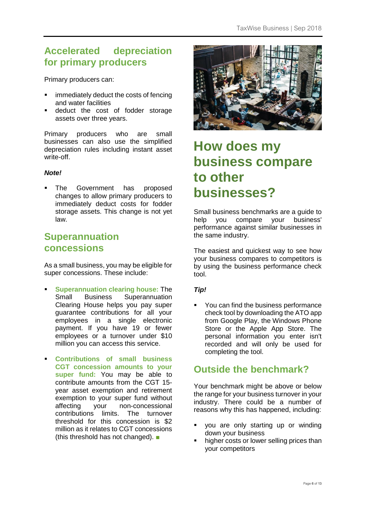## **Accelerated depreciation for primary producers**

Primary producers can:

- immediately deduct the costs of fencing and water facilities
- deduct the cost of fodder storage assets over three years.

Primary producers who are small businesses can also use the simplified depreciation rules including instant asset write-off.

#### *Note!*

The Government has proposed changes to allow primary producers to immediately deduct costs for fodder storage assets. This change is not yet law.

### **Superannuation concessions**

As a small business, you may be eligible for super concessions. These include:

- **Superannuation clearing house: The** Small Business Superannuation Clearing House helps you pay super guarantee contributions for all your employees in a single electronic payment. If you have 19 or fewer employees or a turnover under \$10 million you can access this service.
- **Contributions of small business CGT concession amounts to your super fund:** You may be able to contribute amounts from the CGT 15 year asset exemption and retirement exemption to your super fund without affecting your non-concessional contributions limits. The turnover threshold for this concession is \$2 million as it relates to CGT concessions (this threshold has not changed). ■



# **How does my business compare to other businesses?**

Small business benchmarks are a guide to help you compare your business' performance against similar businesses in the same industry.

The easiest and quickest way to see how your business compares to competitors is by using the business performance check tool.

#### *Tip!*

You can find the business performance check tool by downloading the ATO app from Google Play, the Windows Phone Store or the Apple App Store. The personal information you enter isn't recorded and will only be used for completing the tool.

# **Outside the benchmark?**

Your benchmark might be above or below the range for your business turnover in your industry. There could be a number of reasons why this has happened, including:

- you are only starting up or winding down your business
- higher costs or lower selling prices than your competitors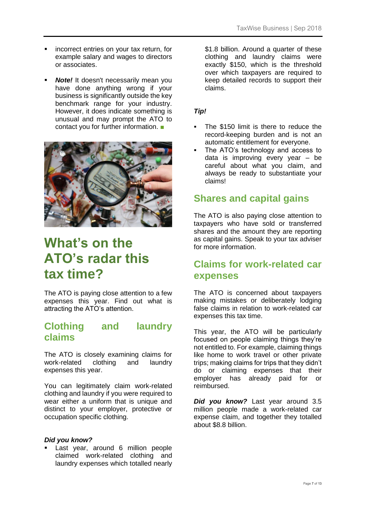- **•** incorrect entries on your tax return, for example salary and wages to directors or associates.
- **Note!** It doesn't necessarily mean you have done anything wrong if your business is significantly outside the key benchmark range for your industry. However, it does indicate something is unusual and may prompt the ATO to contact you for further information. ■



# **What's on the ATO's radar this tax time?**

The ATO is paying close attention to a few expenses this year. Find out what is attracting the ATO's attention.

## **Clothing and laundry claims**

The ATO is closely examining claims for work-related clothing and laundry expenses this year.

You can legitimately claim work-related clothing and laundry if you were required to wear either a uniform that is unique and distinct to your employer, protective or occupation specific clothing.

#### *Did you know?*

**East year, around 6 million people** claimed work-related clothing and laundry expenses which totalled nearly \$1.8 billion. Around a quarter of these clothing and laundry claims were exactly \$150, which is the threshold over which taxpayers are required to keep detailed records to support their claims.

### *Tip!*

- The \$150 limit is there to reduce the record-keeping burden and is not an automatic entitlement for everyone.
- The ATO's technology and access to data is improving every year – be careful about what you claim, and always be ready to substantiate your claims!

### **Shares and capital gains**

The ATO is also paying close attention to taxpayers who have sold or transferred shares and the amount they are reporting as capital gains. Speak to your tax adviser for more information.

## **Claims for work-related car expenses**

The ATO is concerned about taxpayers making mistakes or deliberately lodging false claims in relation to work-related car expenses this tax time.

This year, the ATO will be particularly focused on people claiming things they're not entitled to. For example, claiming things like home to work travel or other private trips; making claims for trips that they didn't do or claiming expenses that their employer has already paid for or reimbursed.

*Did you know?* Last year around 3.5 million people made a work-related car expense claim, and together they totalled about \$8.8 billion.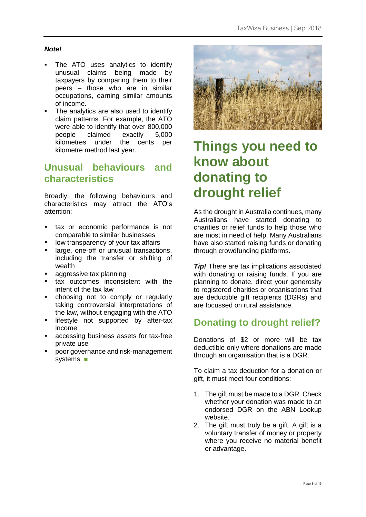### *Note!*

- The ATO uses analytics to identify unusual claims being made by taxpayers by comparing them to their peers – those who are in similar occupations, earning similar amounts of income.
- The analytics are also used to identify claim patterns. For example, the ATO were able to identify that over 800,000 people claimed exactly 5,000 kilometres under the cents per kilometre method last year.

## **Unusual behaviours and characteristics**

Broadly, the following behaviours and characteristics may attract the ATO's attention:

- tax or economic performance is not comparable to similar businesses
- low transparency of your tax affairs
- large, one-off or unusual transactions, including the transfer or shifting of wealth
- aggressive tax planning
- tax outcomes inconsistent with the intent of the tax law
- choosing not to comply or regularly taking controversial interpretations of the law, without engaging with the ATO
- lifestyle not supported by after-tax income
- accessing business assets for tax-free private use
- poor governance and risk-management systems. ■



# **Things you need to know about donating to drought relief**

As the drought in Australia continues, many Australians have started donating to charities or relief funds to help those who are most in need of help. Many Australians have also started raising funds or donating through crowdfunding platforms.

**Tip!** There are tax implications associated with donating or raising funds. If you are planning to donate, direct your generosity to registered charities or organisations that are deductible gift recipients (DGRs) and are focussed on rural assistance.

# **Donating to drought relief?**

Donations of \$2 or more will be tax deductible only where donations are made through an organisation that is a DGR.

To claim a tax deduction for a donation or gift, it must meet four conditions:

- 1. The gift must be made to a DGR. Check whether your donation was made to an endorsed DGR on the ABN Lookup website.
- 2. The gift must truly be a gift. A gift is a voluntary transfer of money or property where you receive no material benefit or advantage.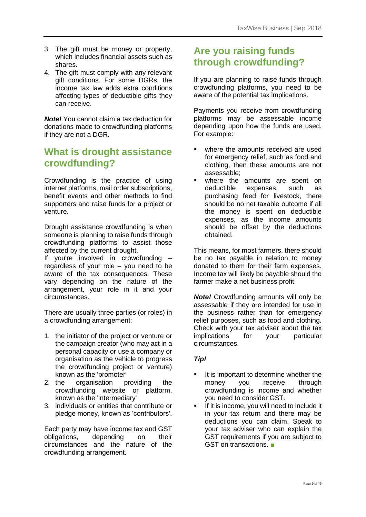- 3. The gift must be money or property, which includes financial assets such as shares.
- 4. The gift must comply with any relevant gift conditions. For some DGRs, the income tax law adds extra conditions affecting types of deductible gifts they can receive.

*Note!* You cannot claim a tax deduction for donations made to crowdfunding platforms if they are not a DGR.

## **What is drought assistance crowdfunding?**

Crowdfunding is the practice of using internet platforms, mail order subscriptions, benefit events and other methods to find supporters and raise funds for a project or venture.

Drought assistance crowdfunding is when someone is planning to raise funds through crowdfunding platforms to assist those affected by the current drought.

If you're involved in crowdfunding – regardless of your role – you need to be aware of the tax consequences. These vary depending on the nature of the arrangement, your role in it and your circumstances.

There are usually three parties (or roles) in a crowdfunding arrangement:

- 1. the initiator of the project or venture or the campaign creator (who may act in a personal capacity or use a company or organisation as the vehicle to progress the crowdfunding project or venture) known as the 'promoter'
- 2. the organisation providing the crowdfunding website or platform, known as the 'intermediary'
- 3. individuals or entities that contribute or pledge money, known as 'contributors'.

Each party may have income tax and GST obligations, depending on their circumstances and the nature of the crowdfunding arrangement.

## **Are you raising funds through crowdfunding?**

If you are planning to raise funds through crowdfunding platforms, you need to be aware of the potential tax implications.

Payments you receive from crowdfunding platforms may be assessable income depending upon how the funds are used. For example:

- where the amounts received are used for emergency relief, such as food and clothing, then these amounts are not assessable;
- where the amounts are spent on deductible expenses, such as purchasing feed for livestock, there should be no net taxable outcome if all the money is spent on deductible expenses, as the income amounts should be offset by the deductions obtained.

This means, for most farmers, there should be no tax payable in relation to money donated to them for their farm expenses. Income tax will likely be payable should the farmer make a net business profit.

*Note!* Crowdfunding amounts will only be assessable if they are intended for use in the business rather than for emergency relief purposes, such as food and clothing. Check with your tax adviser about the tax implications for your particular circumstances.

### *Tip!*

- It is important to determine whether the money you receive through crowdfunding is income and whether you need to consider GST.
- If it is income, you will need to include it in your tax return and there may be deductions you can claim. Speak to your tax adviser who can explain the GST requirements if you are subject to GST on transactions. ■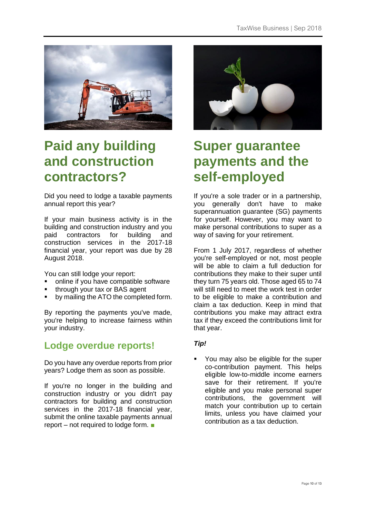

# **Paid any building and construction contractors?**

Did you need to lodge a taxable payments annual report this year?

If your main business activity is in the building and construction industry and you paid contractors for building and construction services in the 2017-18 financial year, your report was due by 28 August 2018.

You can still lodge your report:

- online if you have compatible software
- through your tax or BAS agent
- by mailing the ATO the completed form.

By reporting the payments you've made, you're helping to increase fairness within your industry.

## **Lodge overdue reports!**

Do you have any overdue reports from prior years? Lodge them as soon as possible.

If you're no longer in the building and construction industry or you didn't pay contractors for building and construction services in the 2017-18 financial year, submit the online taxable payments annual report – not required to lodge form. ■



# **Super guarantee payments and the self-employed**

If you're a sole trader or in a partnership, you generally don't have to make superannuation guarantee (SG) payments for yourself. However, you may want to make personal contributions to super as a way of saving for your retirement.

From 1 July 2017, regardless of whether you're self-employed or not, most people will be able to claim a full deduction for contributions they make to their super until they turn 75 years old. Those aged 65 to 74 will still need to meet the work test in order to be eligible to make a contribution and claim a tax deduction. Keep in mind that contributions you make may attract extra tax if they exceed the contributions limit for that year.

### *Tip!*

You may also be eligible for the super co-contribution payment. This helps eligible low-to-middle income earners save for their retirement. If you're eligible and you make personal super contributions, the government will match your contribution up to certain limits, unless you have claimed your contribution as a tax deduction.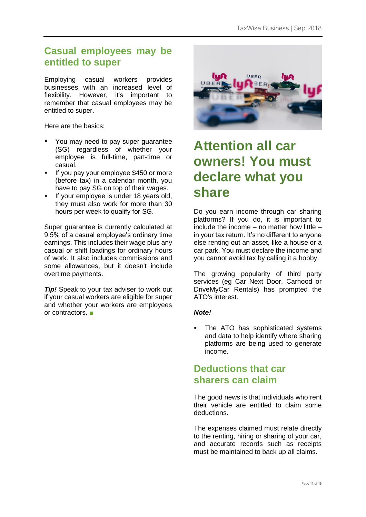## **Casual employees may be entitled to super**

Employing casual workers provides businesses with an increased level of flexibility. However, it's important to remember that casual employees may be entitled to super.

Here are the basics:

- You may need to pay super guarantee (SG) regardless of whether your employee is full-time, part-time or casual.
- **■** If you pay your employee \$450 or more (before tax) in a calendar month, you have to pay SG on top of their wages.
- **■** If your employee is under 18 years old, they must also work for more than 30 hours per week to qualify for SG.

Super quarantee is currently calculated at 9.5% of a casual employee's ordinary time earnings. This includes their wage plus any casual or shift loadings for ordinary hours of work. It also includes commissions and some allowances, but it doesn't include overtime payments.

*Tip!* Speak to your tax adviser to work out if your casual workers are eligible for super and whether your workers are employees or contractors. ■



# **Attention all car owners! You must declare what you share**

Do you earn income through car sharing platforms? If you do, it is important to include the income  $-$  no matter how little  $$ in your tax return. It's no different to anyone else renting out an asset, like a house or a car park. You must declare the income and you cannot avoid tax by calling it a hobby.

The growing popularity of third party services (eg Car Next Door, Carhood or DriveMyCar Rentals) has prompted the ATO's interest.

### *Note!*

**•** The ATO has sophisticated systems and data to help identify where sharing platforms are being used to generate income.

## **Deductions that car sharers can claim**

The good news is that individuals who rent their vehicle are entitled to claim some deductions.

The expenses claimed must relate directly to the renting, hiring or sharing of your car, and accurate records such as receipts must be maintained to back up all claims.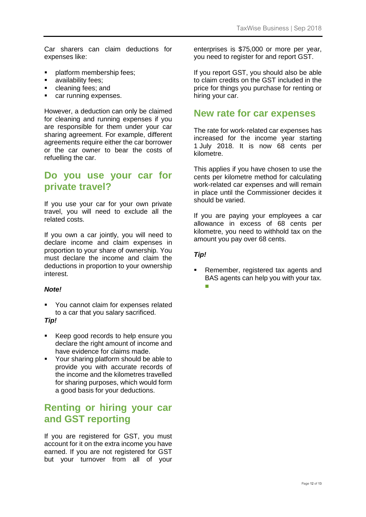Car sharers can claim deductions for expenses like:

- platform membership fees:
- **■** availability fees:
- cleaning fees; and
- car running expenses.

However, a deduction can only be claimed for cleaning and running expenses if you are responsible for them under your car sharing agreement. For example, different agreements require either the car borrower or the car owner to bear the costs of refuelling the car.

## **Do you use your car for private travel?**

If you use your car for your own private travel, you will need to exclude all the related costs.

If you own a car jointly, you will need to declare income and claim expenses in proportion to your share of ownership. You must declare the income and claim the deductions in proportion to your ownership interest.

#### *Note!*

■ You cannot claim for expenses related to a car that you salary sacrificed.

#### *Tip!*

- Keep good records to help ensure you declare the right amount of income and have evidence for claims made.
- Your sharing platform should be able to provide you with accurate records of the income and the kilometres travelled for sharing purposes, which would form a good basis for your deductions.

## **Renting or hiring your car and GST reporting**

If you are registered for GST, you must account for it on the extra income you have earned. If you are not registered for GST but your turnover from all of your enterprises is \$75,000 or more per year, you need to register for and report GST.

If you report GST, you should also be able to claim credits on the GST included in the price for things you purchase for renting or hiring your car.

### **New rate for car expenses**

The rate for work-related car expenses has increased for the income year starting 1 July 2018. It is now 68 cents per kilometre.

This applies if you have chosen to use the cents per kilometre method for calculating work-related car expenses and will remain in place until the Commissioner decides it should be varied.

If you are paying your employees a car allowance in excess of 68 cents per kilometre, you need to withhold tax on the amount you pay over 68 cents.

#### *Tip!*

Remember, registered tax agents and BAS agents can help you with your tax. ■